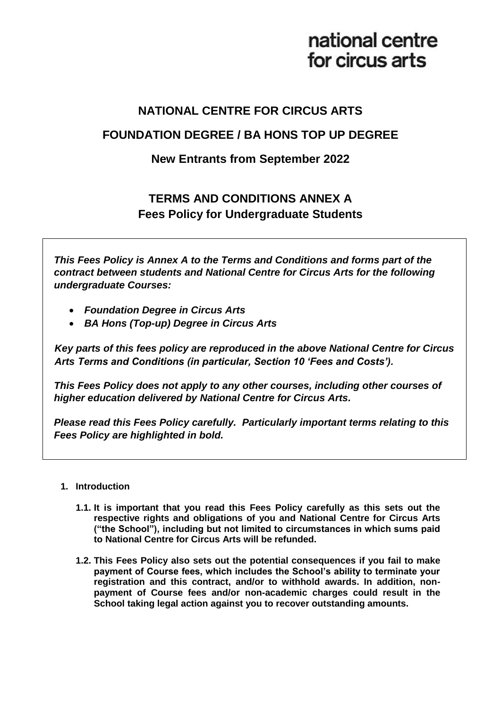# national centre for circus arts

## **NATIONAL CENTRE FOR CIRCUS ARTS**

## **FOUNDATION DEGREE / BA HONS TOP UP DEGREE**

### **New Entrants from September 2022**

## **TERMS AND CONDITIONS ANNEX A Fees Policy for Undergraduate Students**

*This Fees Policy is Annex A to the Terms and Conditions and forms part of the contract between students and National Centre for Circus Arts for the following undergraduate Courses:*

- *Foundation Degree in Circus Arts*
- *BA Hons (Top-up) Degree in Circus Arts*

*Key parts of this fees policy are reproduced in the above National Centre for Circus Arts Terms and Conditions (in particular, Section 10 'Fees and Costs').*

*This Fees Policy does not apply to any other courses, including other courses of higher education delivered by National Centre for Circus Arts.*

*Please read this Fees Policy carefully. Particularly important terms relating to this Fees Policy are highlighted in bold.*

#### **1. Introduction**

- **1.1. It is important that you read this Fees Policy carefully as this sets out the respective rights and obligations of you and National Centre for Circus Arts ("the School"), including but not limited to circumstances in which sums paid to National Centre for Circus Arts will be refunded.**
- **1.2. This Fees Policy also sets out the potential consequences if you fail to make payment of Course fees, which includes the School's ability to terminate your registration and this contract, and/or to withhold awards. In addition, nonpayment of Course fees and/or non-academic charges could result in the School taking legal action against you to recover outstanding amounts.**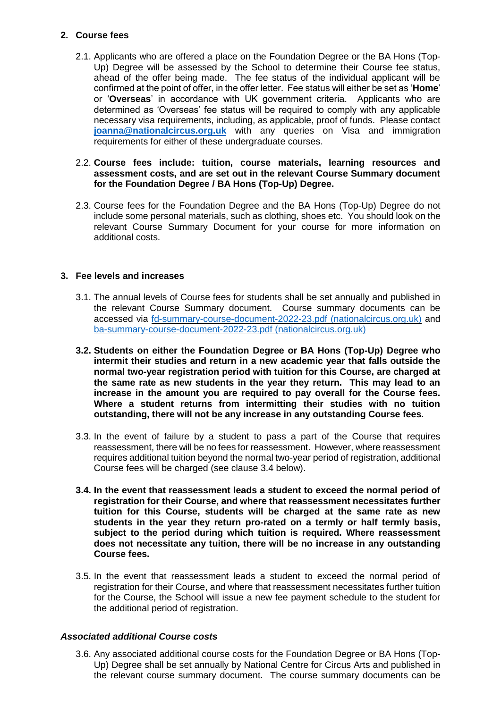#### **2. Course fees**

2.1. Applicants who are offered a place on the Foundation Degree or the BA Hons (Top-Up) Degree will be assessed by the School to determine their Course fee status, ahead of the offer being made. The fee status of the individual applicant will be confirmed at the point of offer, in the offer letter. Fee status will either be set as '**Home**' or '**Overseas**' in accordance with UK government criteria. Applicants who are determined as 'Overseas' fee status will be required to comply with any applicable necessary visa requirements, including, as applicable, proof of funds. Please contact **[joanna@nationalcircus.org.uk](mailto:joanna@nationalcircus.org.uk)** with any queries on Visa and immigration requirements for either of these undergraduate courses.

#### 2.2. **Course fees include: tuition, course materials, learning resources and assessment costs, and are set out in the relevant Course Summary document for the Foundation Degree / BA Hons (Top-Up) Degree.**

2.3. Course fees for the Foundation Degree and the BA Hons (Top-Up) Degree do not include some personal materials, such as clothing, shoes etc. You should look on the relevant Course Summary Document for your course for more information on additional costs.

#### **3. Fee levels and increases**

- 3.1. The annual levels of Course fees for students shall be set annually and published in the relevant Course Summary document. Course summary documents can be accessed via [fd-summary-course-document-2022-23.pdf \(nationalcircus.org.uk\)](https://www.nationalcircus.org.uk/app/uploads/2022/06/fd-summary-course-document-2022-23.pdf) and [ba-summary-course-document-2022-23.pdf \(nationalcircus.org.uk\)](https://www.nationalcircus.org.uk/app/uploads/2022/06/ba-summary-course-document-2022-23.pdf)
- **3.2. Students on either the Foundation Degree or BA Hons (Top-Up) Degree who intermit their studies and return in a new academic year that falls outside the normal two-year registration period with tuition for this Course, are charged at the same rate as new students in the year they return. This may lead to an increase in the amount you are required to pay overall for the Course fees. Where a student returns from intermitting their studies with no tuition outstanding, there will not be any increase in any outstanding Course fees.**
- 3.3. In the event of failure by a student to pass a part of the Course that requires reassessment, there will be no fees for reassessment. However, where reassessment requires additional tuition beyond the normal two-year period of registration, additional Course fees will be charged (see clause 3.4 below).
- **3.4. In the event that reassessment leads a student to exceed the normal period of registration for their Course, and where that reassessment necessitates further tuition for this Course, students will be charged at the same rate as new students in the year they return pro-rated on a termly or half termly basis, subject to the period during which tuition is required. Where reassessment does not necessitate any tuition, there will be no increase in any outstanding Course fees.**
- 3.5. In the event that reassessment leads a student to exceed the normal period of registration for their Course, and where that reassessment necessitates further tuition for the Course, the School will issue a new fee payment schedule to the student for the additional period of registration.

#### *Associated additional Course costs*

3.6. Any associated additional course costs for the Foundation Degree or BA Hons (Top-Up) Degree shall be set annually by National Centre for Circus Arts and published in the relevant course summary document. The course summary documents can be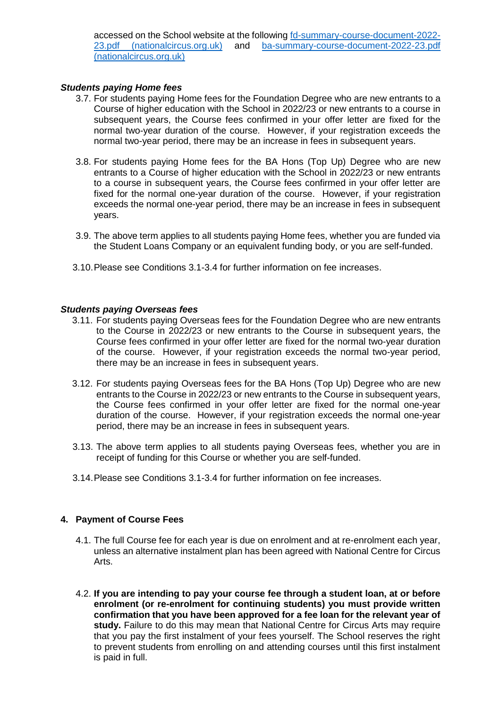accessed on the School website at the following [fd-summary-course-document-2022-](https://www.nationalcircus.org.uk/app/uploads/2022/06/fd-summary-course-document-2022-23.pdf) [23.pdf \(nationalcircus.org.uk\)](https://www.nationalcircus.org.uk/app/uploads/2022/06/fd-summary-course-document-2022-23.pdf) and [ba-summary-course-document-2022-23.pdf](https://www.nationalcircus.org.uk/app/uploads/2022/06/ba-summary-course-document-2022-23.pdf)  [\(nationalcircus.org.uk\)](https://www.nationalcircus.org.uk/app/uploads/2022/06/ba-summary-course-document-2022-23.pdf)

#### *Students paying Home fees*

- 3.7. For students paying Home fees for the Foundation Degree who are new entrants to a Course of higher education with the School in 2022/23 or new entrants to a course in subsequent years, the Course fees confirmed in your offer letter are fixed for the normal two-year duration of the course. However, if your registration exceeds the normal two-year period, there may be an increase in fees in subsequent years.
- 3.8. For students paying Home fees for the BA Hons (Top Up) Degree who are new entrants to a Course of higher education with the School in 2022/23 or new entrants to a course in subsequent years, the Course fees confirmed in your offer letter are fixed for the normal one-year duration of the course. However, if your registration exceeds the normal one-year period, there may be an increase in fees in subsequent years.
- 3.9. The above term applies to all students paying Home fees, whether you are funded via the Student Loans Company or an equivalent funding body, or you are self-funded.
- 3.10.Please see Conditions 3.1-3.4 for further information on fee increases.

#### *Students paying Overseas fees*

- 3.11. For students paying Overseas fees for the Foundation Degree who are new entrants to the Course in 2022/23 or new entrants to the Course in subsequent years, the Course fees confirmed in your offer letter are fixed for the normal two-year duration of the course. However, if your registration exceeds the normal two-year period, there may be an increase in fees in subsequent years.
- 3.12. For students paying Overseas fees for the BA Hons (Top Up) Degree who are new entrants to the Course in 2022/23 or new entrants to the Course in subsequent years, the Course fees confirmed in your offer letter are fixed for the normal one-year duration of the course. However, if your registration exceeds the normal one-year period, there may be an increase in fees in subsequent years.
- 3.13. The above term applies to all students paying Overseas fees, whether you are in receipt of funding for this Course or whether you are self-funded.
- 3.14.Please see Conditions 3.1-3.4 for further information on fee increases.

#### **4. Payment of Course Fees**

- 4.1. The full Course fee for each year is due on enrolment and at re-enrolment each year, unless an alternative instalment plan has been agreed with National Centre for Circus Arts.
- 4.2. **If you are intending to pay your course fee through a student loan, at or before enrolment (or re-enrolment for continuing students) you must provide written confirmation that you have been approved for a fee loan for the relevant year of study.** Failure to do this may mean that National Centre for Circus Arts may require that you pay the first instalment of your fees yourself. The School reserves the right to prevent students from enrolling on and attending courses until this first instalment is paid in full.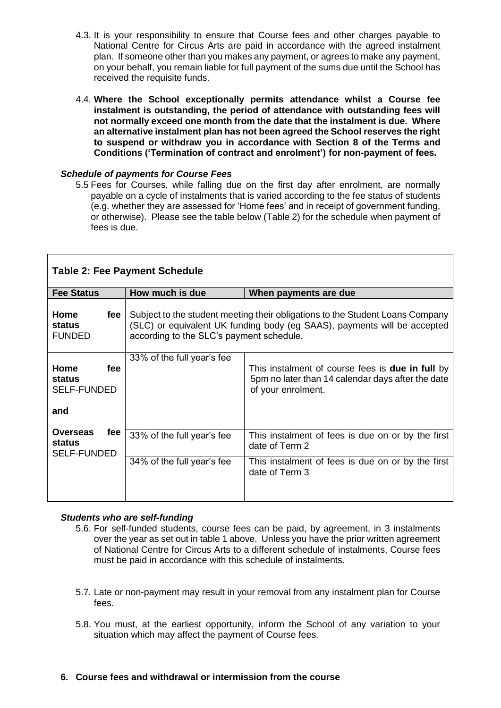- 4.3. It is your responsibility to ensure that Course fees and other charges payable to National Centre for Circus Arts are paid in accordance with the agreed instalment plan. If someone other than you makes any payment, or agrees to make any payment, on your behalf, you remain liable for full payment of the sums due until the School has received the requisite funds.
- 4.4. **Where the School exceptionally permits attendance whilst a Course fee instalment is outstanding, the period of attendance with outstanding fees will not normally exceed one month from the date that the instalment is due. Where an alternative instalment plan has not been agreed the School reserves the right to suspend or withdraw you in accordance with Section 8 of the Terms and Conditions ('Termination of contract and enrolment') for non-payment of fees.**

#### *Schedule of payments for Course Fees*

5.5 Fees for Courses, while falling due on the first day after enrolment, are normally payable on a cycle of instalments that is varied according to the fee status of students (e.g. whether they are assessed for 'Home fees' and in receipt of government funding, or otherwise). Please see the table below (Table 2) for the schedule when payment of fees is due.

| <b>Table 2: Fee Payment Schedule</b>                          |                                                                                                                                                                                                       |                                                                                                                                    |  |
|---------------------------------------------------------------|-------------------------------------------------------------------------------------------------------------------------------------------------------------------------------------------------------|------------------------------------------------------------------------------------------------------------------------------------|--|
| <b>Fee Status</b>                                             | How much is due                                                                                                                                                                                       | When payments are due                                                                                                              |  |
| Home<br>fee<br>status<br><b>FUNDED</b>                        | Subject to the student meeting their obligations to the Student Loans Company<br>(SLC) or equivalent UK funding body (eg SAAS), payments will be accepted<br>according to the SLC's payment schedule. |                                                                                                                                    |  |
| Home<br>fee<br>status<br><b>SELF-FUNDED</b><br>and            | 33% of the full year's fee                                                                                                                                                                            | This instalment of course fees is <b>due in full</b> by<br>5pm no later than 14 calendar days after the date<br>of your enrolment. |  |
| <b>Overseas</b><br>fee<br><b>status</b><br><b>SELF-FUNDED</b> | 33% of the full year's fee                                                                                                                                                                            | This instalment of fees is due on or by the first<br>date of Term 2                                                                |  |
|                                                               | 34% of the full year's fee                                                                                                                                                                            | This instalment of fees is due on or by the first<br>date of Term 3                                                                |  |

#### *Students who are self-funding*

- 5.6. For self-funded students, course fees can be paid, by agreement, in 3 instalments over the year as set out in table 1 above. Unless you have the prior written agreement of National Centre for Circus Arts to a different schedule of instalments, Course fees must be paid in accordance with this schedule of instalments.
- 5.7. Late or non-payment may result in your removal from any instalment plan for Course fees.
- 5.8. You must, at the earliest opportunity, inform the School of any variation to your situation which may affect the payment of Course fees.
- **6. Course fees and withdrawal or intermission from the course**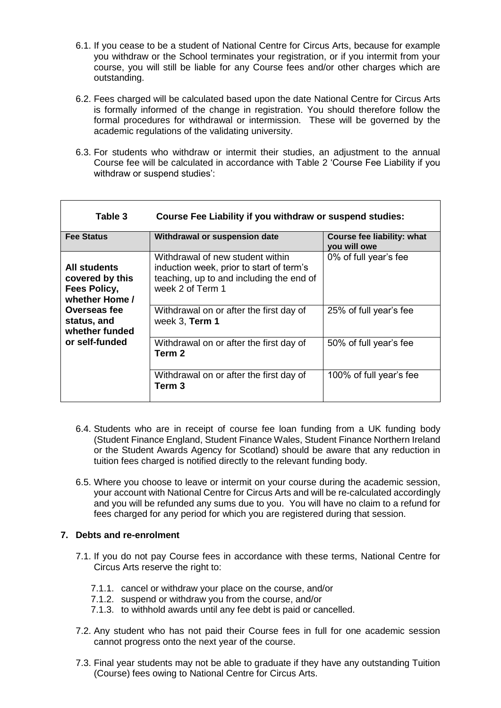- 6.1. If you cease to be a student of National Centre for Circus Arts, because for example you withdraw or the School terminates your registration, or if you intermit from your course, you will still be liable for any Course fees and/or other charges which are outstanding.
- 6.2. Fees charged will be calculated based upon the date National Centre for Circus Arts is formally informed of the change in registration. You should therefore follow the formal procedures for withdrawal or intermission. These will be governed by the academic regulations of the validating university.
- 6.3. For students who withdraw or intermit their studies, an adjustment to the annual Course fee will be calculated in accordance with Table 2 'Course Fee Liability if you withdraw or suspend studies':

| Table 3                                                                  | Course Fee Liability if you withdraw or suspend studies:                                                                                     |                                            |  |
|--------------------------------------------------------------------------|----------------------------------------------------------------------------------------------------------------------------------------------|--------------------------------------------|--|
| <b>Fee Status</b>                                                        | Withdrawal or suspension date                                                                                                                | Course fee liability: what<br>you will owe |  |
| All students<br>covered by this<br><b>Fees Policy,</b><br>whether Home / | Withdrawal of new student within<br>induction week, prior to start of term's<br>teaching, up to and including the end of<br>week 2 of Term 1 | 0% of full year's fee                      |  |
| Overseas fee<br>status, and<br>whether funded                            | Withdrawal on or after the first day of<br>week 3, Term 1                                                                                    | 25% of full year's fee                     |  |
| or self-funded                                                           | Withdrawal on or after the first day of<br>Term 2                                                                                            | 50% of full year's fee                     |  |
|                                                                          | Withdrawal on or after the first day of<br>Term 3                                                                                            | 100% of full year's fee                    |  |

- 6.4. Students who are in receipt of course fee loan funding from a UK funding body (Student Finance England, Student Finance Wales, Student Finance Northern Ireland or the Student Awards Agency for Scotland) should be aware that any reduction in tuition fees charged is notified directly to the relevant funding body.
- 6.5. Where you choose to leave or intermit on your course during the academic session, your account with National Centre for Circus Arts and will be re-calculated accordingly and you will be refunded any sums due to you. You will have no claim to a refund for fees charged for any period for which you are registered during that session.

#### **7. Debts and re-enrolment**

- 7.1. If you do not pay Course fees in accordance with these terms, National Centre for Circus Arts reserve the right to:
	- 7.1.1. cancel or withdraw your place on the course, and/or
	- 7.1.2. suspend or withdraw you from the course, and/or
	- 7.1.3. to withhold awards until any fee debt is paid or cancelled.
- 7.2. Any student who has not paid their Course fees in full for one academic session cannot progress onto the next year of the course.
- 7.3. Final year students may not be able to graduate if they have any outstanding Tuition (Course) fees owing to National Centre for Circus Arts.